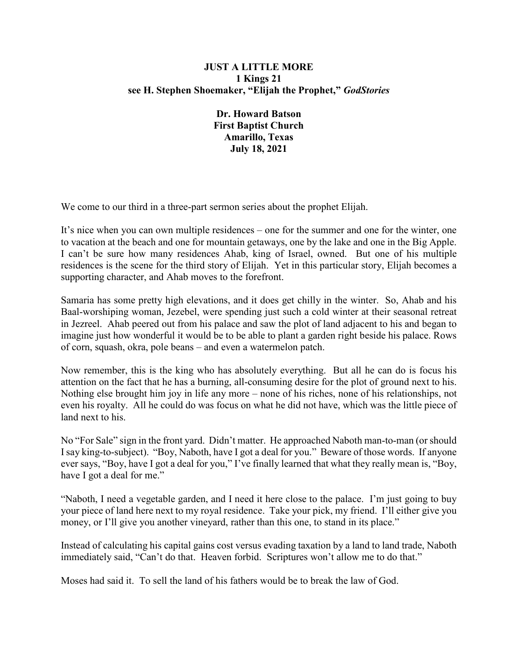## **JUST A LITTLE MORE 1 Kings 21 see H. Stephen Shoemaker, "Elijah the Prophet,"** *GodStories*

**Dr. Howard Batson First Baptist Church Amarillo, Texas July 18, 2021**

We come to our third in a three-part sermon series about the prophet Elijah.

It's nice when you can own multiple residences – one for the summer and one for the winter, one to vacation at the beach and one for mountain getaways, one by the lake and one in the Big Apple. I can't be sure how many residences Ahab, king of Israel, owned. But one of his multiple residences is the scene for the third story of Elijah. Yet in this particular story, Elijah becomes a supporting character, and Ahab moves to the forefront.

Samaria has some pretty high elevations, and it does get chilly in the winter. So, Ahab and his Baal-worshiping woman, Jezebel, were spending just such a cold winter at their seasonal retreat in Jezreel. Ahab peered out from his palace and saw the plot of land adjacent to his and began to imagine just how wonderful it would be to be able to plant a garden right beside his palace. Rows of corn, squash, okra, pole beans – and even a watermelon patch.

Now remember, this is the king who has absolutely everything. But all he can do is focus his attention on the fact that he has a burning, all-consuming desire for the plot of ground next to his. Nothing else brought him joy in life any more – none of his riches, none of his relationships, not even his royalty. All he could do was focus on what he did not have, which was the little piece of land next to his.

No "For Sale" sign in the front yard. Didn't matter. He approached Naboth man-to-man (or should I say king-to-subject). "Boy, Naboth, have I got a deal for you." Beware of those words. If anyone ever says, "Boy, have I got a deal for you," I've finally learned that what they really mean is, "Boy, have I got a deal for me."

"Naboth, I need a vegetable garden, and I need it here close to the palace. I'm just going to buy your piece of land here next to my royal residence. Take your pick, my friend. I'll either give you money, or I'll give you another vineyard, rather than this one, to stand in its place."

Instead of calculating his capital gains cost versus evading taxation by a land to land trade, Naboth immediately said, "Can't do that. Heaven forbid. Scriptures won't allow me to do that."

Moses had said it. To sell the land of his fathers would be to break the law of God.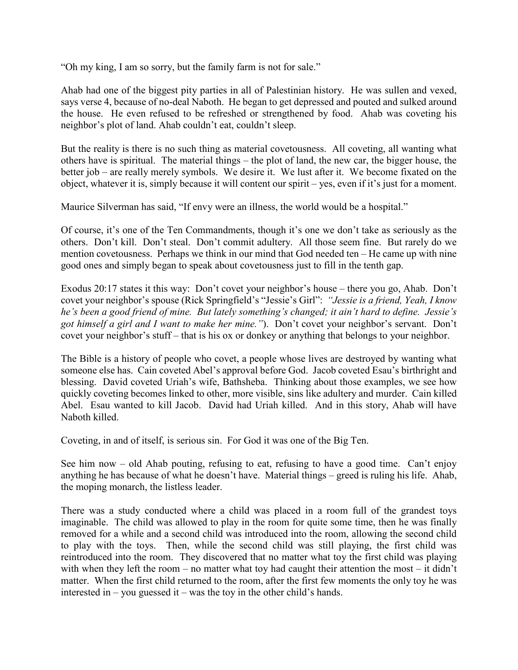"Oh my king, I am so sorry, but the family farm is not for sale."

Ahab had one of the biggest pity parties in all of Palestinian history. He was sullen and vexed, says verse 4, because of no-deal Naboth. He began to get depressed and pouted and sulked around the house. He even refused to be refreshed or strengthened by food. Ahab was coveting his neighbor's plot of land. Ahab couldn't eat, couldn't sleep.

But the reality is there is no such thing as material covetousness. All coveting, all wanting what others have is spiritual. The material things – the plot of land, the new car, the bigger house, the better job – are really merely symbols. We desire it. We lust after it. We become fixated on the object, whatever it is, simply because it will content our spirit – yes, even if it's just for a moment.

Maurice Silverman has said, "If envy were an illness, the world would be a hospital."

Of course, it's one of the Ten Commandments, though it's one we don't take as seriously as the others. Don't kill. Don't steal. Don't commit adultery. All those seem fine. But rarely do we mention covetousness. Perhaps we think in our mind that God needed ten – He came up with nine good ones and simply began to speak about covetousness just to fill in the tenth gap.

Exodus 20:17 states it this way: Don't covet your neighbor's house – there you go, Ahab. Don't covet your neighbor's spouse (Rick Springfield's "Jessie's Girl": *"Jessie is a friend, Yeah, I know he's been a good friend of mine. But lately something's changed; it ain't hard to define. Jessie's got himself a girl and I want to make her mine."*). Don't covet your neighbor's servant. Don't covet your neighbor's stuff – that is his ox or donkey or anything that belongs to your neighbor.

The Bible is a history of people who covet, a people whose lives are destroyed by wanting what someone else has. Cain coveted Abel's approval before God. Jacob coveted Esau's birthright and blessing. David coveted Uriah's wife, Bathsheba. Thinking about those examples, we see how quickly coveting becomes linked to other, more visible, sins like adultery and murder. Cain killed Abel. Esau wanted to kill Jacob. David had Uriah killed. And in this story, Ahab will have Naboth killed.

Coveting, in and of itself, is serious sin. For God it was one of the Big Ten.

See him now – old Ahab pouting, refusing to eat, refusing to have a good time. Can't enjoy anything he has because of what he doesn't have. Material things – greed is ruling his life. Ahab, the moping monarch, the listless leader.

There was a study conducted where a child was placed in a room full of the grandest toys imaginable. The child was allowed to play in the room for quite some time, then he was finally removed for a while and a second child was introduced into the room, allowing the second child to play with the toys. Then, while the second child was still playing, the first child was reintroduced into the room. They discovered that no matter what toy the first child was playing with when they left the room – no matter what toy had caught their attention the most – it didn't matter. When the first child returned to the room, after the first few moments the only toy he was interested in – you guessed it – was the toy in the other child's hands.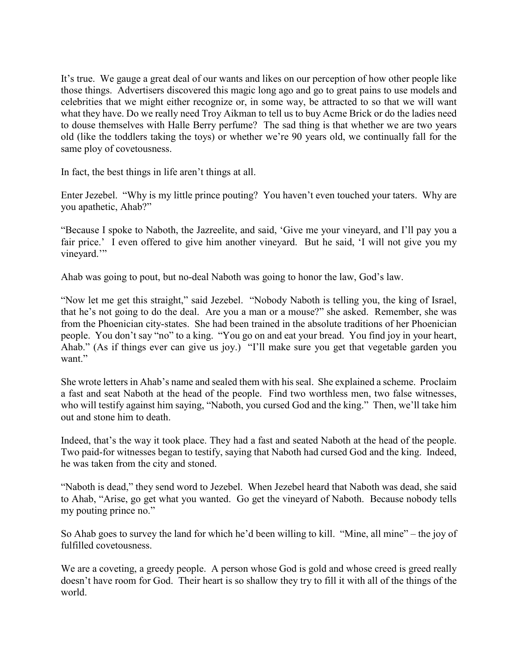It's true. We gauge a great deal of our wants and likes on our perception of how other people like those things. Advertisers discovered this magic long ago and go to great pains to use models and celebrities that we might either recognize or, in some way, be attracted to so that we will want what they have. Do we really need Troy Aikman to tell us to buy Acme Brick or do the ladies need to douse themselves with Halle Berry perfume? The sad thing is that whether we are two years old (like the toddlers taking the toys) or whether we're 90 years old, we continually fall for the same ploy of covetousness.

In fact, the best things in life aren't things at all.

Enter Jezebel. "Why is my little prince pouting? You haven't even touched your taters. Why are you apathetic, Ahab?"

"Because I spoke to Naboth, the Jazreelite, and said, 'Give me your vineyard, and I'll pay you a fair price.' I even offered to give him another vineyard. But he said, 'I will not give you my vineyard."

Ahab was going to pout, but no-deal Naboth was going to honor the law, God's law.

"Now let me get this straight," said Jezebel. "Nobody Naboth is telling you, the king of Israel, that he's not going to do the deal. Are you a man or a mouse?" she asked. Remember, she was from the Phoenician city-states. She had been trained in the absolute traditions of her Phoenician people. You don't say "no" to a king. "You go on and eat your bread. You find joy in your heart, Ahab." (As if things ever can give us joy.) "I'll make sure you get that vegetable garden you want."

She wrote letters in Ahab's name and sealed them with his seal. She explained a scheme. Proclaim a fast and seat Naboth at the head of the people. Find two worthless men, two false witnesses, who will testify against him saying, "Naboth, you cursed God and the king." Then, we'll take him out and stone him to death.

Indeed, that's the way it took place. They had a fast and seated Naboth at the head of the people. Two paid-for witnesses began to testify, saying that Naboth had cursed God and the king. Indeed, he was taken from the city and stoned.

"Naboth is dead," they send word to Jezebel. When Jezebel heard that Naboth was dead, she said to Ahab, "Arise, go get what you wanted. Go get the vineyard of Naboth. Because nobody tells my pouting prince no."

So Ahab goes to survey the land for which he'd been willing to kill. "Mine, all mine" – the joy of fulfilled covetousness.

We are a coveting, a greedy people. A person whose God is gold and whose creed is greed really doesn't have room for God. Their heart is so shallow they try to fill it with all of the things of the world.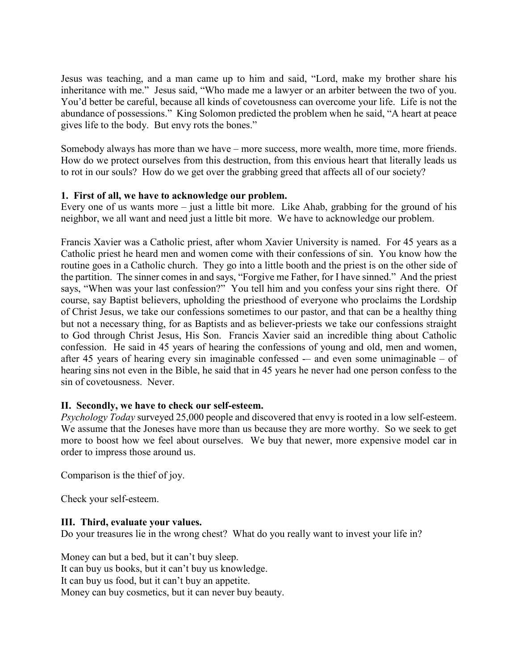Jesus was teaching, and a man came up to him and said, "Lord, make my brother share his inheritance with me." Jesus said, "Who made me a lawyer or an arbiter between the two of you. You'd better be careful, because all kinds of covetousness can overcome your life. Life is not the abundance of possessions." King Solomon predicted the problem when he said, "A heart at peace gives life to the body. But envy rots the bones."

Somebody always has more than we have – more success, more wealth, more time, more friends. How do we protect ourselves from this destruction, from this envious heart that literally leads us to rot in our souls? How do we get over the grabbing greed that affects all of our society?

## **1. First of all, we have to acknowledge our problem.**

Every one of us wants more – just a little bit more. Like Ahab, grabbing for the ground of his neighbor, we all want and need just a little bit more. We have to acknowledge our problem.

Francis Xavier was a Catholic priest, after whom Xavier University is named. For 45 years as a Catholic priest he heard men and women come with their confessions of sin. You know how the routine goes in a Catholic church. They go into a little booth and the priest is on the other side of the partition. The sinner comes in and says, "Forgive me Father, for I have sinned." And the priest says, "When was your last confession?" You tell him and you confess your sins right there. Of course, say Baptist believers, upholding the priesthood of everyone who proclaims the Lordship of Christ Jesus, we take our confessions sometimes to our pastor, and that can be a healthy thing but not a necessary thing, for as Baptists and as believer-priests we take our confessions straight to God through Christ Jesus, His Son. Francis Xavier said an incredible thing about Catholic confession. He said in 45 years of hearing the confessions of young and old, men and women, after 45 years of hearing every sin imaginable confessed  $-$  and even some unimaginable  $-$  of hearing sins not even in the Bible, he said that in 45 years he never had one person confess to the sin of covetousness. Never.

# **II. Secondly, we have to check our self-esteem.**

*Psychology Today* surveyed 25,000 people and discovered that envy is rooted in a low self-esteem. We assume that the Joneses have more than us because they are more worthy. So we seek to get more to boost how we feel about ourselves. We buy that newer, more expensive model car in order to impress those around us.

Comparison is the thief of joy.

Check your self-esteem.

#### **III. Third, evaluate your values.**

Do your treasures lie in the wrong chest? What do you really want to invest your life in?

Money can but a bed, but it can't buy sleep. It can buy us books, but it can't buy us knowledge. It can buy us food, but it can't buy an appetite. Money can buy cosmetics, but it can never buy beauty.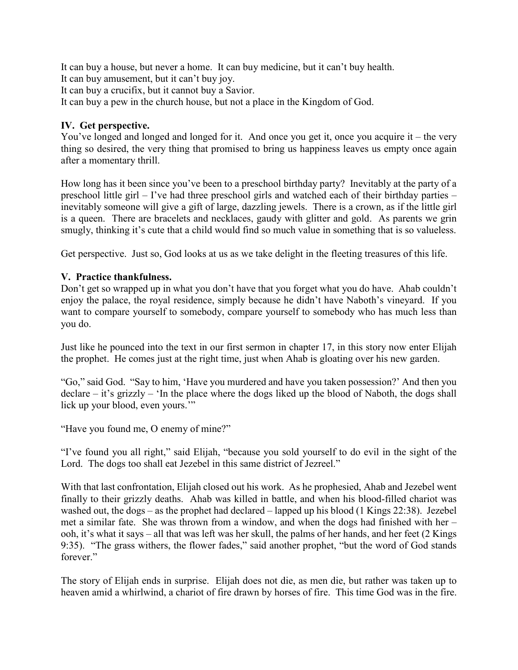It can buy a house, but never a home. It can buy medicine, but it can't buy health.

It can buy amusement, but it can't buy joy.

It can buy a crucifix, but it cannot buy a Savior.

It can buy a pew in the church house, but not a place in the Kingdom of God.

## **IV. Get perspective.**

You've longed and longed and longed for it. And once you get it, once you acquire it – the very thing so desired, the very thing that promised to bring us happiness leaves us empty once again after a momentary thrill.

How long has it been since you've been to a preschool birthday party? Inevitably at the party of a preschool little girl – I've had three preschool girls and watched each of their birthday parties – inevitably someone will give a gift of large, dazzling jewels. There is a crown, as if the little girl is a queen. There are bracelets and necklaces, gaudy with glitter and gold. As parents we grin smugly, thinking it's cute that a child would find so much value in something that is so valueless.

Get perspective. Just so, God looks at us as we take delight in the fleeting treasures of this life.

## **V. Practice thankfulness.**

Don't get so wrapped up in what you don't have that you forget what you do have. Ahab couldn't enjoy the palace, the royal residence, simply because he didn't have Naboth's vineyard. If you want to compare yourself to somebody, compare yourself to somebody who has much less than you do.

Just like he pounced into the text in our first sermon in chapter 17, in this story now enter Elijah the prophet. He comes just at the right time, just when Ahab is gloating over his new garden.

"Go," said God. "Say to him, 'Have you murdered and have you taken possession?' And then you declare – it's grizzly – 'In the place where the dogs liked up the blood of Naboth, the dogs shall lick up your blood, even yours.'"

"Have you found me, O enemy of mine?"

"I've found you all right," said Elijah, "because you sold yourself to do evil in the sight of the Lord. The dogs too shall eat Jezebel in this same district of Jezreel."

With that last confrontation, Elijah closed out his work. As he prophesied, Ahab and Jezebel went finally to their grizzly deaths. Ahab was killed in battle, and when his blood-filled chariot was washed out, the dogs – as the prophet had declared – lapped up his blood (1 Kings 22:38). Jezebel met a similar fate. She was thrown from a window, and when the dogs had finished with her – ooh, it's what it says – all that was left was her skull, the palms of her hands, and her feet (2 Kings 9:35). "The grass withers, the flower fades," said another prophet, "but the word of God stands forever."

The story of Elijah ends in surprise. Elijah does not die, as men die, but rather was taken up to heaven amid a whirlwind, a chariot of fire drawn by horses of fire. This time God was in the fire.